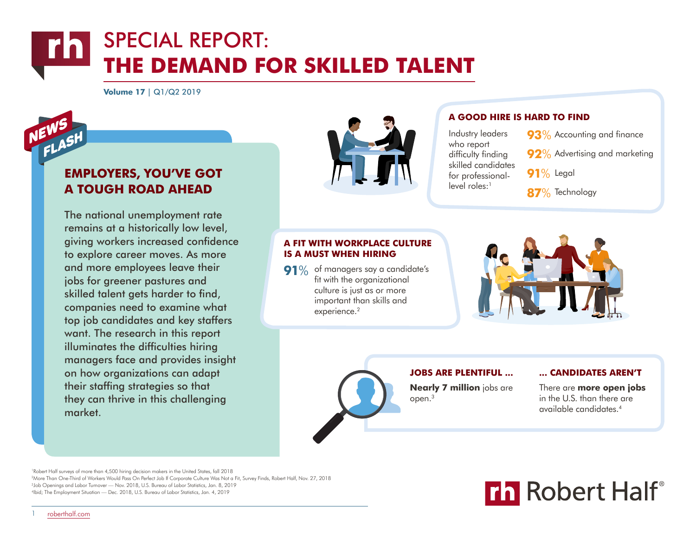**Volume 17** | Q1/Q2 2019

# **EMPLOYERS, YOU'VE GOT A TOUGH ROAD AHEAD**

The national unemployment rate remains at a historically low level, giving workers increased confidence to explore career moves. As more and more employees leave their jobs for greener pastures and skilled talent gets harder to find, companies need to examine what top job candidates and key staffers want. The research in this report illuminates the difficulties hiring managers face and provides insight on how organizations can adapt their staffing strategies so that they can thrive in this challenging market.



# **A GOOD HIRE IS HARD TO FIND**

Industry leaders who report difficulty finding skilled candidates for professional $level$  roles: $<sup>1</sup>$ </sup>



- **92**% Advertising and marketing
- **91**% Legal
- **87**% Technology

# **A FIT WITH WORKPLACE CULTURE IS A MUST WHEN HIRING**

**91**% of managers say a candidate's fit with the organizational culture is just as or more important than skills and experience.<sup>2</sup>





# **Nearly 7 million** jobs are open.<sup>3</sup> **JOBS ARE PLENTIFUL ... ... CANDIDATES AREN'T**

There are **more open jobs** in the U.S. than there are available candidates.<sup>4</sup>

 Robert Half surveys of more than 4,500 hiring decision makers in the United States, fall 2018 More Than One-Third of Workers Would Pass On Perfect Job If Corporate Culture Was Not a Fit, Survey Finds, Robert Half, Nov. 27, 2018 Job Openings and Labor Turnover — Nov. 2018, U.S. Bureau of Labor Statistics, Jan. 8, 2019 Ibid; The Employment Situation — Dec. 2018, U.S. Bureau of Labor Statistics, Jan. 4, 2019



1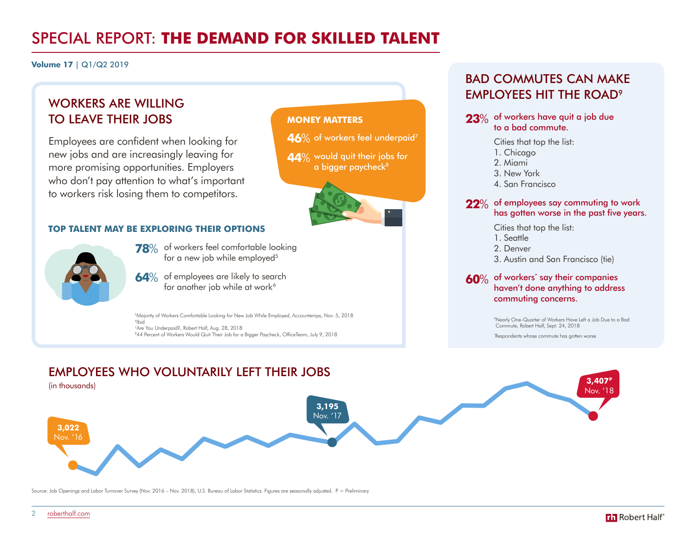**Volume 17** | Q1/Q2 2019

# WORKERS ARE WILLING TO LEAVE THEIR JOBS

Employees are confident when looking for new jobs and are increasingly leaving for more promising opportunities. Employers who don't pay attention to what's important to workers risk losing them to competitors.

# **TOP TALENT MAY BE EXPLORING THEIR OPTIONS**



- **78**% of workers feel comfortable looking for a new job while employed<sup>5</sup>
- **64**% of employees are likely to search for another job while at work<sup>6</sup>

 Majority of Workers Comfortable Looking for New Job While Employed, Accountemps, Nov. 5, 2018 6 Ibid Are You Underpaid?, Robert Half, Aug. 28, 2018 44 Percent of Workers Would Quit Their Job for a Bigger Paycheck, OfficeTeam, July 9, 2018

# BAD COMMUTES CAN MAKE EMPLOYEES HIT THE ROAD9

## **23**% of workers have quit a job due to a bad commute.

Cities that top the list:

- 1. Chicago
- 2. Miami

3. New York

4. San Francisco

## **22**% of employees say commuting to work has gotten worse in the past five years.

Cities that top the list:

- 1. Seattle
- 2. Denver
- 3. Austin and San Francisco (tie)

**60**% of workers' say their companies haven't done anything to address commuting concerns.

> 9 Nearly One-Quarter of Workers Have Left a Job Due to a Bad Commute, Robert Half, Sept. 24, 2018

\* Respondents whose commute has gotten worse



**MONEY MATTERS**

 $\mathbf{46}\%$  of workers feel underpaid<sup>7</sup>

**44**% would quit their jobs for a bigger paycheck<sup>8</sup>

Source: Job Openings and Labor Turnover Survey (Nov. 2016 – Nov. 2018), U.S. Bureau of Labor Statistics. Figures are seasonally adjusted. P = Preliminary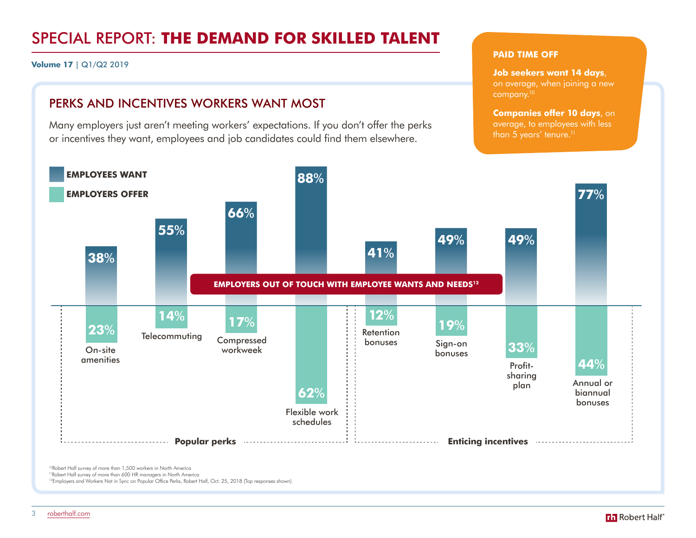**Volume 17** | Q1/Q2 2019

# PERKS AND INCENTIVES WORKERS WANT MOST

Many employers just aren't meeting workers' expectations. If you don't offer the perks or incentives they want, employees and job candidates could find them elsewhere.

### **PAID TIME OFF**

**Job seekers want 14 days**,

on average, when joining a new company.<sup>10</sup>

**Companies offer 10 days**, on average, to employees with less than 5 years' tenure.<sup>11</sup>



<sup>10</sup>Robert Half survey of more than 1,500 workers in North America 11Robert Half survey of more than 600 HR managers in North America

<sup>12</sup>Employers and Workers Not in Sync on Popular Office Perks, Robert Half, Oct. 25, 2018 (Top responses shown)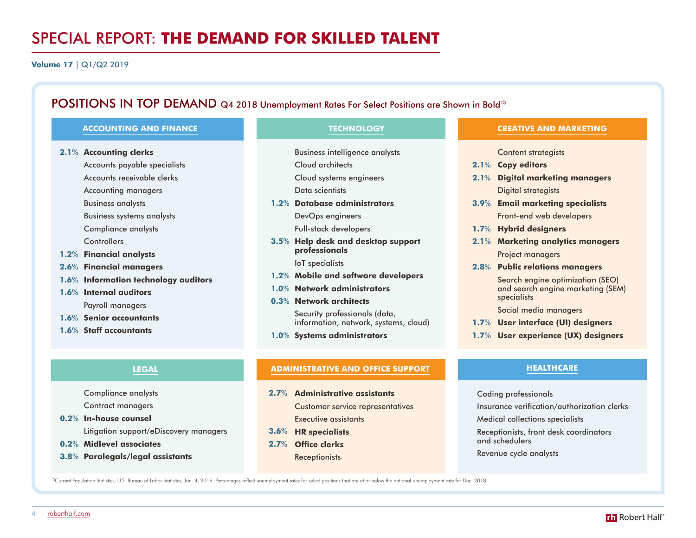**Volume 17** | Q1/Q2 2019

# POSITIONS IN TOP DEMAND Q4 2018 Unemployment Rates For Select Positions are Shown in Bold<sup>13</sup>

#### **[ACCOUNTING AND FINANCE](https://www.roberthalf.com/salary-guide/accounting-and-finance)**

**Accounting clerks 2.1**%

Accounts payable specialists Accounts receivable clerks Accounting managers Business analysts Business systems analysts Compliance analysts **Controllers Financial analysts 1.2**%

- **Financial managers 2.6**%
- 1.6% Information technology auditors
- 1.6% Internal auditors Payroll managers
- 1.6% Senior accountants
- **Staff accountants 1.6**%

#### **[LEGAL](https://www.roberthalf.com/salary-guide/legal)**

Compliance analysts Contract managers

- **In-house counsel 0.2**% Litigation support/eDiscovery managers
- **Midlevel associates 0.2**%
- **Paralegals/legal assistants 3.8**%

## **[TECHNOLOGY](https://www.roberthalf.com/salary-guide/technology)**

- Business intelligence analysts
- Cloud architects
- Cloud systems engineers
- Data scientists
- **Database administrators 1.2**% DevOps engineers Full-stack developers
- **Help desk and desktop support 3.5**% **professionals**
	- IoT specialists
- **Mobile and software developers 1.2**%
- **Network administrators 1.0**%
- **Network architects 0.3**%

Security professionals (data, information, network, systems, cloud)

**Systems administrators 1.0**%

#### **[ADMINISTRATIVE AND OFFICE SUPPORT](https://www.roberthalf.com/salary-guide/administrative)**

- **Administrative assistants 2.7**% Customer service representatives Executive assistants
- **HR specialists 3.6**%
- 
- 
- **Office clerks 2.7**% **Receptionists**

Search engine optimization (SEO) and search engine marketing (SEM) specialists

Social media managers

- **User interface (UI) designers 1.7**%
- **User experience (UX) designers 1.7**%

**[CREATIVE AND MARKETING](https://www.roberthalf.com/salary-guide/creative-and-marketing)**

Content strategists

Digital strategists **Email marketing specialists 3.9**% Front-end web developers

Project managers **Public relations managers 2.8**%

**Hybrid designers 1.7**%

**Digital marketing managers 2.1**%

**Marketing analytics managers 2.1**%

**Copy editors 2.1**%

## **HEALTHCARE**

Coding professionals

Insurance verification/authorization clerks

Medical collections specialists

Receptionists, front desk coordinators and schedulers

Revenue cycle analysts

<sup>13</sup>Current Population Statistics, U.S. Bureau of Labor Statistics, Jan. 4, 2019. Percentages reflect unemployment rates for select positions that are at or below the national unemployment rate for Dec. 2018.

[roberthalf.com](https://www.roberthalf.com/)